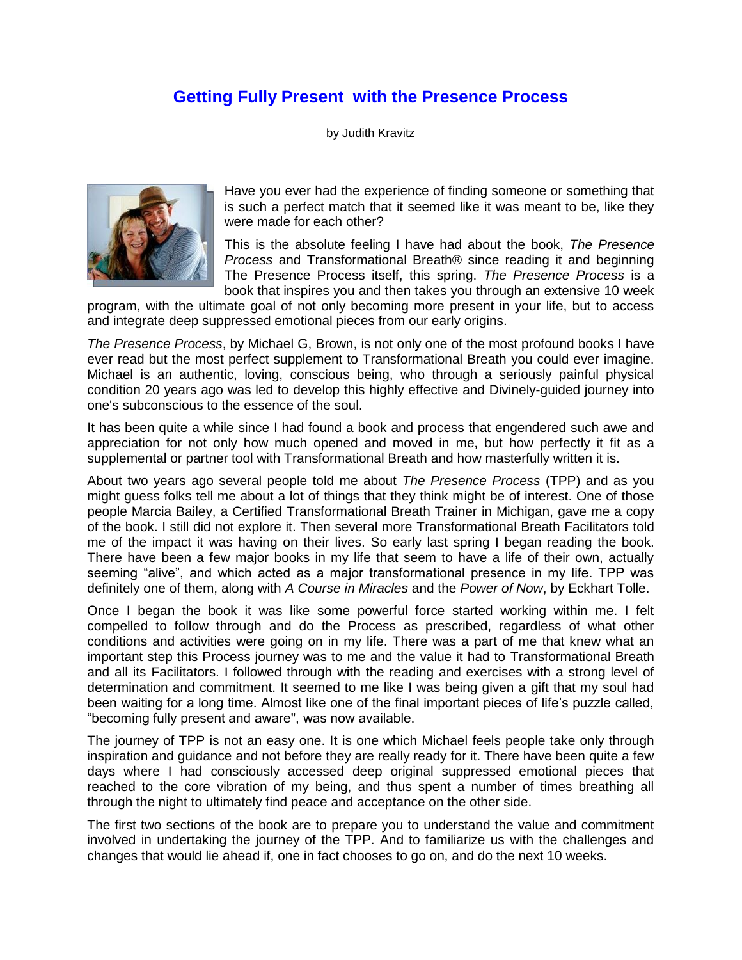## **Getting Fully Present with the Presence Process**

by Judith Kravitz



Have you ever had the experience of finding someone or something that is such a perfect match that it seemed like it was meant to be, like they were made for each other?

This is the absolute feeling I have had about the book, *The Presence Process* and Transformational Breath® since reading it and beginning The Presence Process itself, this spring. *The Presence Process* is a book that inspires you and then takes you through an extensive 10 week

program, with the ultimate goal of not only becoming more present in your life, but to access and integrate deep suppressed emotional pieces from our early origins.

*The Presence Process*, by Michael G, Brown, is not only one of the most profound books I have ever read but the most perfect supplement to Transformational Breath you could ever imagine. Michael is an authentic, loving, conscious being, who through a seriously painful physical condition 20 years ago was led to develop this highly effective and Divinely-guided journey into one's subconscious to the essence of the soul.

It has been quite a while since I had found a book and process that engendered such awe and appreciation for not only how much opened and moved in me, but how perfectly it fit as a supplemental or partner tool with Transformational Breath and how masterfully written it is.

About two years ago several people told me about *The Presence Process* (TPP) and as you might guess folks tell me about a lot of things that they think might be of interest. One of those people Marcia Bailey, a Certified Transformational Breath Trainer in Michigan, gave me a copy of the book. I still did not explore it. Then several more Transformational Breath Facilitators told me of the impact it was having on their lives. So early last spring I began reading the book. There have been a few major books in my life that seem to have a life of their own, actually seeming "alive", and which acted as a major transformational presence in my life. TPP was definitely one of them, along with *A Course in Miracles* and the *Power of Now*, by Eckhart Tolle.

Once I began the book it was like some powerful force started working within me. I felt compelled to follow through and do the Process as prescribed, regardless of what other conditions and activities were going on in my life. There was a part of me that knew what an important step this Process journey was to me and the value it had to Transformational Breath and all its Facilitators. I followed through with the reading and exercises with a strong level of determination and commitment. It seemed to me like I was being given a gift that my soul had been waiting for a long time. Almost like one of the final important pieces of life's puzzle called, "becoming fully present and aware", was now available.

The journey of TPP is not an easy one. It is one which Michael feels people take only through inspiration and guidance and not before they are really ready for it. There have been quite a few days where I had consciously accessed deep original suppressed emotional pieces that reached to the core vibration of my being, and thus spent a number of times breathing all through the night to ultimately find peace and acceptance on the other side.

The first two sections of the book are to prepare you to understand the value and commitment involved in undertaking the journey of the TPP. And to familiarize us with the challenges and changes that would lie ahead if, one in fact chooses to go on, and do the next 10 weeks.